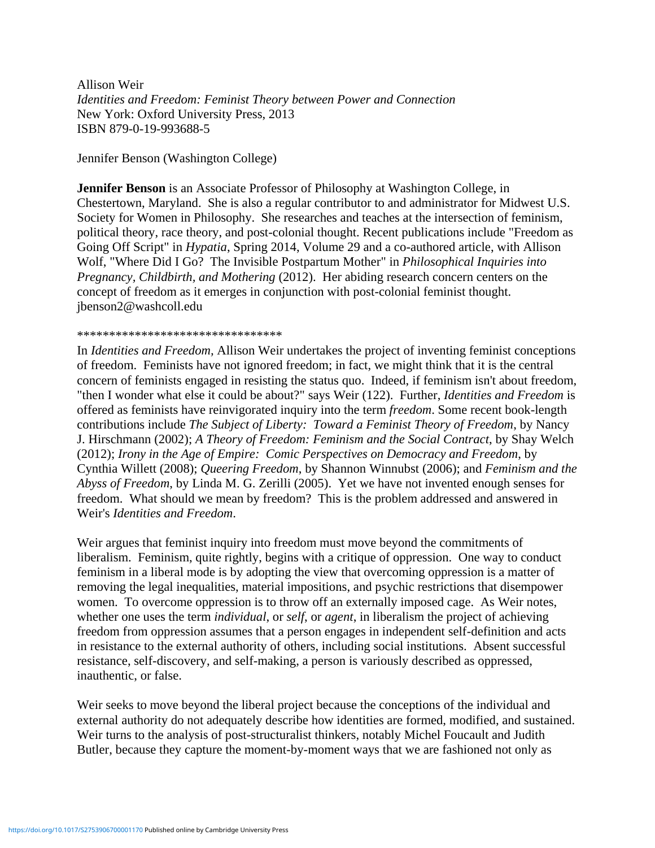Allison Weir *Identities and Freedom: Feminist Theory between Power and Connection* New York: Oxford University Press, 2013 ISBN 879-0-19-993688-5

Jennifer Benson (Washington College)

**Jennifer Benson** is an Associate Professor of Philosophy at Washington College, in Chestertown, Maryland. She is also a regular contributor to and administrator for Midwest U.S. Society for Women in Philosophy. She researches and teaches at the intersection of feminism, political theory, race theory, and post-colonial thought. Recent publications include "Freedom as Going Off Script" in *Hypatia*, Spring 2014, Volume 29 and a co-authored article, with Allison Wolf, "Where Did I Go? The Invisible Postpartum Mother" in *Philosophical Inquiries into Pregnancy, Childbirth, and Mothering* (2012). Her abiding research concern centers on the concept of freedom as it emerges in conjunction with post-colonial feminist thought. jbenson2@washcoll.edu

## \*\*\*\*\*\*\*\*\*\*\*\*\*\*\*\*\*\*\*\*\*\*\*\*\*\*\*\*\*\*\*\*

In *Identities and Freedom,* Allison Weir undertakes the project of inventing feminist conceptions of freedom. Feminists have not ignored freedom; in fact, we might think that it is the central concern of feminists engaged in resisting the status quo. Indeed, if feminism isn't about freedom, "then I wonder what else it could be about?" says Weir (122). Further, *Identities and Freedom* is offered as feminists have reinvigorated inquiry into the term *freedom*. Some recent book-length contributions include *The Subject of Liberty: Toward a Feminist Theory of Freedom*, by Nancy J. Hirschmann (2002); *A Theory of Freedom: Feminism and the Social Contract*, by Shay Welch (2012); *Irony in the Age of Empire: Comic Perspectives on Democracy and Freedom*, by Cynthia Willett (2008); *Queering Freedom*, by Shannon Winnubst (2006); and *Feminism and the Abyss of Freedom*, by Linda M. G. Zerilli (2005). Yet we have not invented enough senses for freedom. What should we mean by freedom? This is the problem addressed and answered in Weir's *Identities and Freedom*.

Weir argues that feminist inquiry into freedom must move beyond the commitments of liberalism. Feminism, quite rightly, begins with a critique of oppression. One way to conduct feminism in a liberal mode is by adopting the view that overcoming oppression is a matter of removing the legal inequalities, material impositions, and psychic restrictions that disempower women. To overcome oppression is to throw off an externally imposed cage. As Weir notes, whether one uses the term *individual*, or *self*, or *agent*, in liberalism the project of achieving freedom from oppression assumes that a person engages in independent self-definition and acts in resistance to the external authority of others, including social institutions. Absent successful resistance, self-discovery, and self-making, a person is variously described as oppressed, inauthentic, or false.

Weir seeks to move beyond the liberal project because the conceptions of the individual and external authority do not adequately describe how identities are formed, modified, and sustained. Weir turns to the analysis of post-structuralist thinkers, notably Michel Foucault and Judith Butler, because they capture the moment-by-moment ways that we are fashioned not only as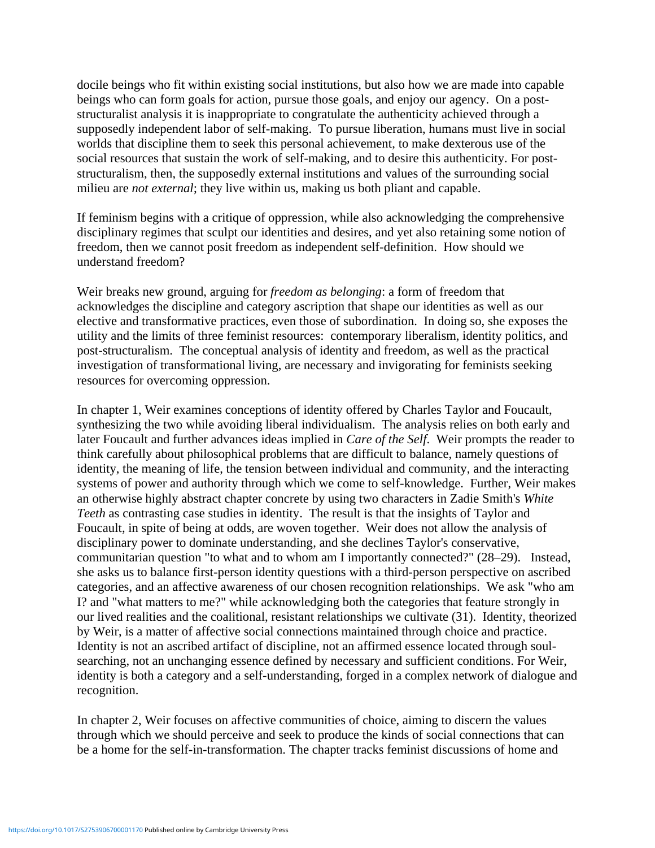docile beings who fit within existing social institutions, but also how we are made into capable beings who can form goals for action, pursue those goals, and enjoy our agency. On a poststructuralist analysis it is inappropriate to congratulate the authenticity achieved through a supposedly independent labor of self-making. To pursue liberation, humans must live in social worlds that discipline them to seek this personal achievement, to make dexterous use of the social resources that sustain the work of self-making, and to desire this authenticity. For poststructuralism, then, the supposedly external institutions and values of the surrounding social milieu are *not external*; they live within us, making us both pliant and capable.

If feminism begins with a critique of oppression, while also acknowledging the comprehensive disciplinary regimes that sculpt our identities and desires, and yet also retaining some notion of freedom, then we cannot posit freedom as independent self-definition. How should we understand freedom?

Weir breaks new ground, arguing for *freedom as belonging*: a form of freedom that acknowledges the discipline and category ascription that shape our identities as well as our elective and transformative practices, even those of subordination. In doing so, she exposes the utility and the limits of three feminist resources: contemporary liberalism, identity politics, and post-structuralism. The conceptual analysis of identity and freedom, as well as the practical investigation of transformational living, are necessary and invigorating for feminists seeking resources for overcoming oppression.

In chapter 1, Weir examines conceptions of identity offered by Charles Taylor and Foucault, synthesizing the two while avoiding liberal individualism. The analysis relies on both early and later Foucault and further advances ideas implied in *Care of the Self*. Weir prompts the reader to think carefully about philosophical problems that are difficult to balance, namely questions of identity, the meaning of life, the tension between individual and community, and the interacting systems of power and authority through which we come to self-knowledge. Further, Weir makes an otherwise highly abstract chapter concrete by using two characters in Zadie Smith's *White Teeth* as contrasting case studies in identity. The result is that the insights of Taylor and Foucault, in spite of being at odds, are woven together. Weir does not allow the analysis of disciplinary power to dominate understanding, and she declines Taylor's conservative, communitarian question "to what and to whom am I importantly connected?" (28–29). Instead, she asks us to balance first-person identity questions with a third-person perspective on ascribed categories, and an affective awareness of our chosen recognition relationships. We ask "who am I? and "what matters to me?" while acknowledging both the categories that feature strongly in our lived realities and the coalitional, resistant relationships we cultivate (31). Identity, theorized by Weir, is a matter of affective social connections maintained through choice and practice. Identity is not an ascribed artifact of discipline, not an affirmed essence located through soulsearching, not an unchanging essence defined by necessary and sufficient conditions. For Weir, identity is both a category and a self-understanding, forged in a complex network of dialogue and recognition.

In chapter 2, Weir focuses on affective communities of choice, aiming to discern the values through which we should perceive and seek to produce the kinds of social connections that can be a home for the self-in-transformation. The chapter tracks feminist discussions of home and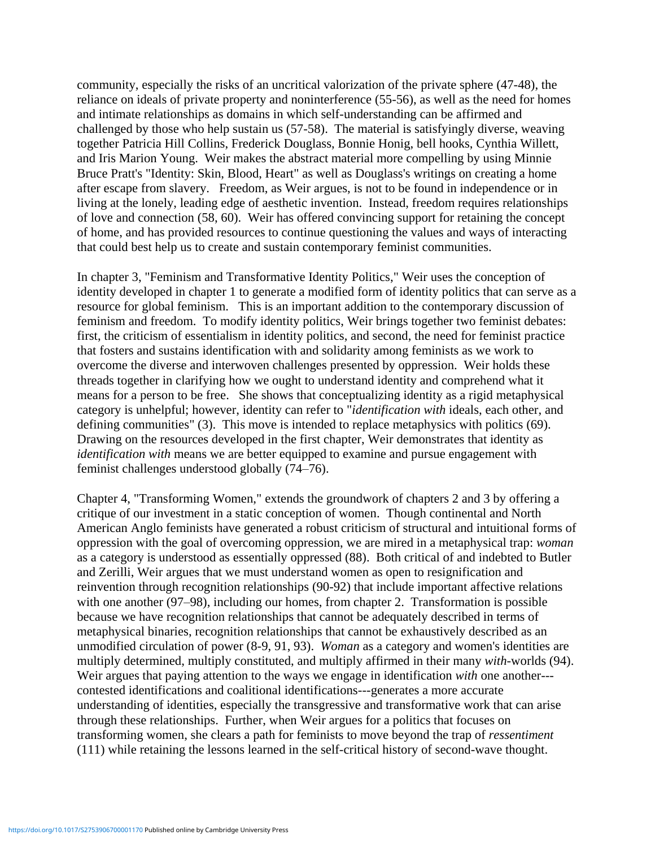community, especially the risks of an uncritical valorization of the private sphere (47-48), the reliance on ideals of private property and noninterference (55-56), as well as the need for homes and intimate relationships as domains in which self-understanding can be affirmed and challenged by those who help sustain us (57-58). The material is satisfyingly diverse, weaving together Patricia Hill Collins, Frederick Douglass, Bonnie Honig, bell hooks, Cynthia Willett, and Iris Marion Young. Weir makes the abstract material more compelling by using Minnie Bruce Pratt's "Identity: Skin, Blood, Heart" as well as Douglass's writings on creating a home after escape from slavery. Freedom, as Weir argues, is not to be found in independence or in living at the lonely, leading edge of aesthetic invention. Instead, freedom requires relationships of love and connection (58, 60). Weir has offered convincing support for retaining the concept of home, and has provided resources to continue questioning the values and ways of interacting that could best help us to create and sustain contemporary feminist communities.

In chapter 3, "Feminism and Transformative Identity Politics," Weir uses the conception of identity developed in chapter 1 to generate a modified form of identity politics that can serve as a resource for global feminism. This is an important addition to the contemporary discussion of feminism and freedom. To modify identity politics, Weir brings together two feminist debates: first, the criticism of essentialism in identity politics, and second, the need for feminist practice that fosters and sustains identification with and solidarity among feminists as we work to overcome the diverse and interwoven challenges presented by oppression. Weir holds these threads together in clarifying how we ought to understand identity and comprehend what it means for a person to be free. She shows that conceptualizing identity as a rigid metaphysical category is unhelpful; however, identity can refer to "*identification with* ideals, each other, and defining communities" (3). This move is intended to replace metaphysics with politics (69). Drawing on the resources developed in the first chapter, Weir demonstrates that identity as *identification with* means we are better equipped to examine and pursue engagement with feminist challenges understood globally (74–76).

Chapter 4, "Transforming Women," extends the groundwork of chapters 2 and 3 by offering a critique of our investment in a static conception of women. Though continental and North American Anglo feminists have generated a robust criticism of structural and intuitional forms of oppression with the goal of overcoming oppression, we are mired in a metaphysical trap: *woman* as a category is understood as essentially oppressed (88). Both critical of and indebted to Butler and Zerilli, Weir argues that we must understand women as open to resignification and reinvention through recognition relationships (90-92) that include important affective relations with one another (97–98), including our homes, from chapter 2. Transformation is possible because we have recognition relationships that cannot be adequately described in terms of metaphysical binaries, recognition relationships that cannot be exhaustively described as an unmodified circulation of power (8-9, 91, 93). *Woman* as a category and women's identities are multiply determined, multiply constituted, and multiply affirmed in their many *with*-worlds (94). Weir argues that paying attention to the ways we engage in identification *with* one another-- contested identifications and coalitional identifications---generates a more accurate understanding of identities, especially the transgressive and transformative work that can arise through these relationships. Further, when Weir argues for a politics that focuses on transforming women, she clears a path for feminists to move beyond the trap of *ressentiment* (111) while retaining the lessons learned in the self-critical history of second-wave thought.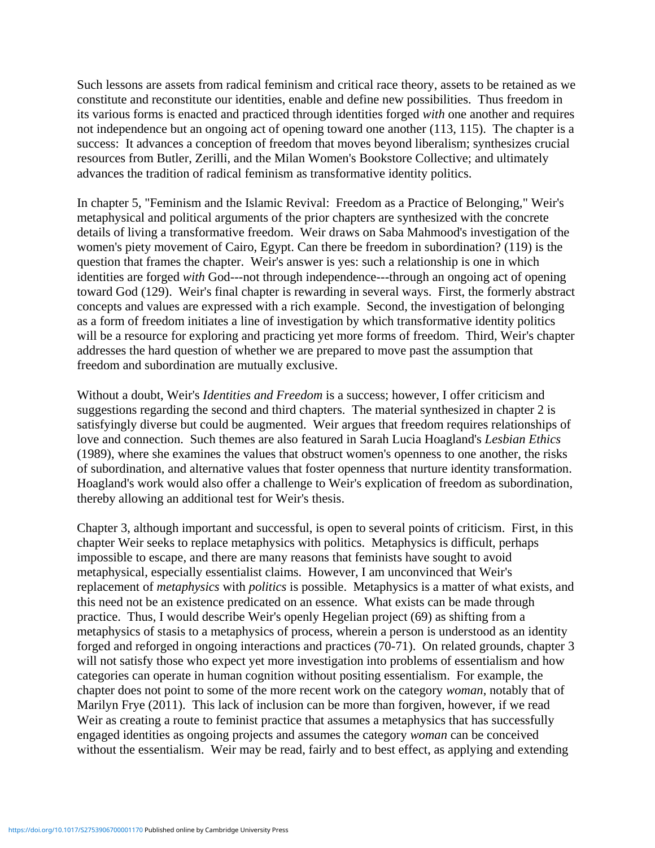Such lessons are assets from radical feminism and critical race theory, assets to be retained as we constitute and reconstitute our identities, enable and define new possibilities. Thus freedom in its various forms is enacted and practiced through identities forged *with* one another and requires not independence but an ongoing act of opening toward one another (113, 115). The chapter is a success: It advances a conception of freedom that moves beyond liberalism; synthesizes crucial resources from Butler, Zerilli, and the Milan Women's Bookstore Collective; and ultimately advances the tradition of radical feminism as transformative identity politics.

In chapter 5, "Feminism and the Islamic Revival: Freedom as a Practice of Belonging," Weir's metaphysical and political arguments of the prior chapters are synthesized with the concrete details of living a transformative freedom. Weir draws on Saba Mahmood's investigation of the women's piety movement of Cairo, Egypt. Can there be freedom in subordination? (119) is the question that frames the chapter. Weir's answer is yes: such a relationship is one in which identities are forged *with* God---not through independence---through an ongoing act of opening toward God (129). Weir's final chapter is rewarding in several ways. First, the formerly abstract concepts and values are expressed with a rich example. Second, the investigation of belonging as a form of freedom initiates a line of investigation by which transformative identity politics will be a resource for exploring and practicing yet more forms of freedom. Third, Weir's chapter addresses the hard question of whether we are prepared to move past the assumption that freedom and subordination are mutually exclusive.

Without a doubt, Weir's *Identities and Freedom* is a success; however, I offer criticism and suggestions regarding the second and third chapters. The material synthesized in chapter 2 is satisfyingly diverse but could be augmented. Weir argues that freedom requires relationships of love and connection. Such themes are also featured in Sarah Lucia Hoagland's *Lesbian Ethics* (1989), where she examines the values that obstruct women's openness to one another, the risks of subordination, and alternative values that foster openness that nurture identity transformation. Hoagland's work would also offer a challenge to Weir's explication of freedom as subordination, thereby allowing an additional test for Weir's thesis.

Chapter 3, although important and successful, is open to several points of criticism. First, in this chapter Weir seeks to replace metaphysics with politics. Metaphysics is difficult, perhaps impossible to escape, and there are many reasons that feminists have sought to avoid metaphysical, especially essentialist claims. However, I am unconvinced that Weir's replacement of *metaphysics* with *politics* is possible. Metaphysics is a matter of what exists, and this need not be an existence predicated on an essence. What exists can be made through practice. Thus, I would describe Weir's openly Hegelian project (69) as shifting from a metaphysics of stasis to a metaphysics of process, wherein a person is understood as an identity forged and reforged in ongoing interactions and practices (70-71). On related grounds, chapter 3 will not satisfy those who expect yet more investigation into problems of essentialism and how categories can operate in human cognition without positing essentialism. For example, the chapter does not point to some of the more recent work on the category *woman*, notably that of Marilyn Frye (2011). This lack of inclusion can be more than forgiven, however, if we read Weir as creating a route to feminist practice that assumes a metaphysics that has successfully engaged identities as ongoing projects and assumes the category *woman* can be conceived without the essentialism. Weir may be read, fairly and to best effect, as applying and extending